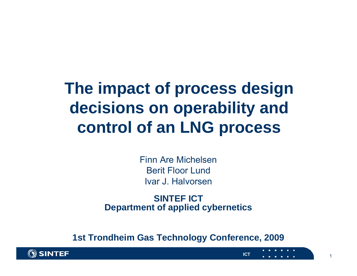## **The impact of process design decisions on operability and control of an LNG process**

Finn Are MichelsenBerit Floor LundIvar J. Halvorsen

**SINTEF ICTDepartment of applied cybernetics**

**1st Trondheim Gas Technology Conference, 2009**

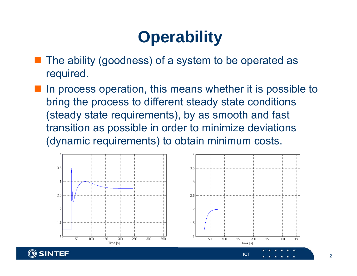## **Operability**

- The ability (goodness) of a system to be operated as required.
- In process operation, this means whether it is possible to bring the process to different steady state conditions (steady state requirements), by as smooth and fast transition as possible in order to minimize deviations (dynamic requirements) to obtain minimum costs.





350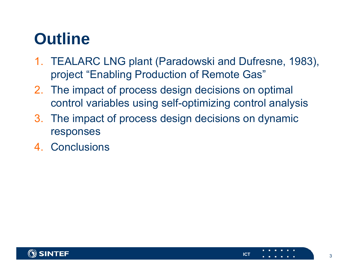## **Outline**

- 1. TEALARC LNG plant (Paradowski and Dufresne, 1983), project "Enabling Production of Remote Gas"
- 2. The impact of process design decisions on optimal control variables using self-optimizing control analysis
- 3. The impact of process design decisions on dynamic responses
- 4. Conclusions

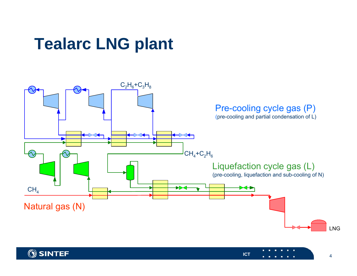## **Tealarc LNG plant**



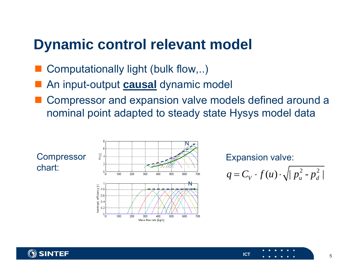#### **Dynamic control relevant model**

- Computationally light (bulk flow,..)
- **STATE** An input-output **causal** dynamic model
- **STATE**  Compressor and expansion valve models defined around a nominal point adapted to steady state Hysys model data





$$
q = C_V \cdot f(u) \cdot \sqrt{\left| \frac{p_u^2 - p_d^2}{p_u^2} \right|}
$$

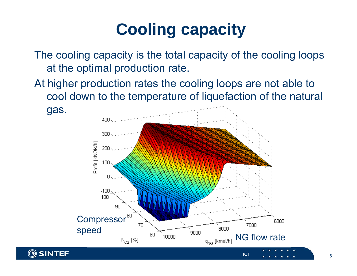# **Cooling capacity**

The cooling capacity is the total capacity of the cooling loops at the optimal production rate.

At higher production rates the cooling loops are not able to cool down to the temperature of liquefaction of the natural

gas.

**SINTEF** 

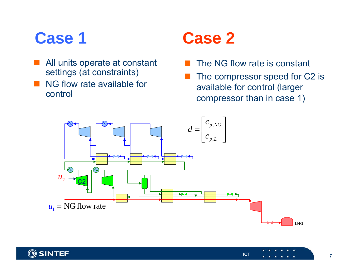- All units operate at constant settings (at constraints)
- NG flow rate available for control

## **Case 1 Case 2**

- The NG flow rate is constant
- The compressor speed for C2 is available for control (larger compressor than in case 1)



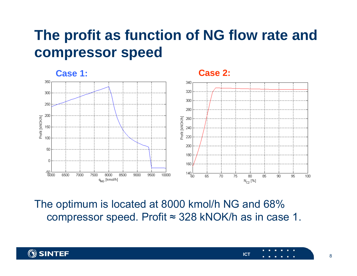### **The profit as function of NG flow rate and compressor speed**



The optimum is located at 8000 kmol/h NG and 68% compressor speed. Profit ≈ 328 kNOK/h as in case 1.

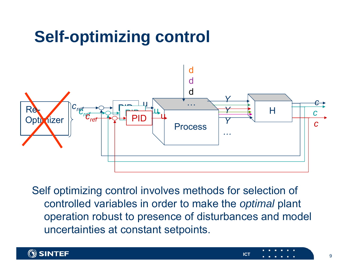## **Self-optimizing control**



Self optimizing control involves methods for selection of controlled variables in order to make the *optimal* plant operation robust to presence of disturbances and model uncertainties at constant setpoints.

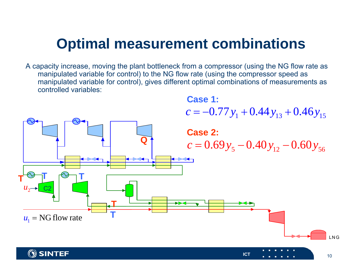### **Optimal measurement combinations**

A capacity increase, moving the plant bottleneck from a compressor (using the NG flow rate as manipulated variable for control) to the NG flow rate (using the compressor speed as manipulated variable for control), gives different optimal combinations of measurements as controlled variables:



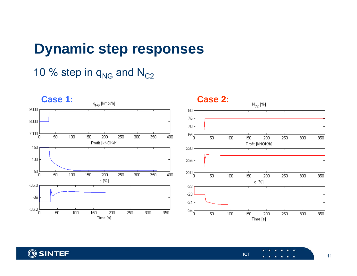#### **Dynamic step responses**

#### 10 % step in  $\mathsf{q}_\mathsf{NG}$  and  $\mathsf{N}_\mathsf{C2}$